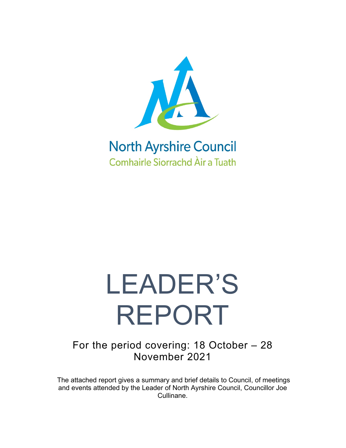

## **North Ayrshire Council Comhairle Siorrachd Àir a Tuath**

# LEADER'S REPORT

For the period covering: 18 October – 28 November 2021

The attached report gives a summary and brief details to Council, of meetings and events attended by the Leader of North Ayrshire Council, Councillor Joe Cullinane.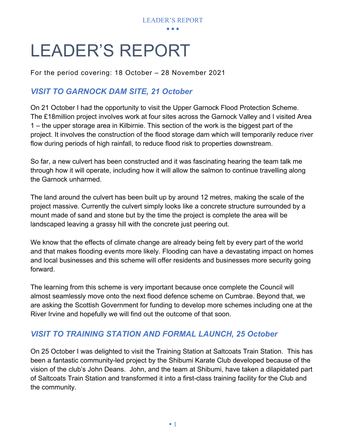

# LEADER'S REPORT

For the period covering: 18 October – 28 November 2021

#### *VISIT TO GARNOCK DAM SITE, 21 October*

On 21 October I had the opportunity to visit the Upper Garnock Flood Protection Scheme. The £18million project involves work at four sites across the Garnock Valley and I visited Area 1 – the upper storage area in Kilbirnie. This section of the work is the biggest part of the project. It involves the construction of the flood storage dam which will temporarily reduce river flow during periods of high rainfall, to reduce flood risk to properties downstream.

So far, a new culvert has been constructed and it was fascinating hearing the team talk me through how it will operate, including how it will allow the salmon to continue travelling along the Garnock unharmed.

The land around the culvert has been built up by around 12 metres, making the scale of the project massive. Currently the culvert simply looks like a concrete structure surrounded by a mount made of sand and stone but by the time the project is complete the area will be landscaped leaving a grassy hill with the concrete just peering out.

We know that the effects of climate change are already being felt by every part of the world and that makes flooding events more likely. Flooding can have a devastating impact on homes and local businesses and this scheme will offer residents and businesses more security going forward.

The learning from this scheme is very important because once complete the Council will almost seamlessly move onto the next flood defence scheme on Cumbrae. Beyond that, we are asking the Scottish Government for funding to develop more schemes including one at the River Irvine and hopefully we will find out the outcome of that soon.

#### *VISIT TO TRAINING STATION AND FORMAL LAUNCH, 25 October*

On 25 October I was delighted to visit the Training Station at Saltcoats Train Station. This has been a fantastic community-led project by the Shibumi Karate Club developed because of the vision of the club's John Deans. John, and the team at Shibumi, have taken a dilapidated part of Saltcoats Train Station and transformed it into a first-class training facility for the Club and the community.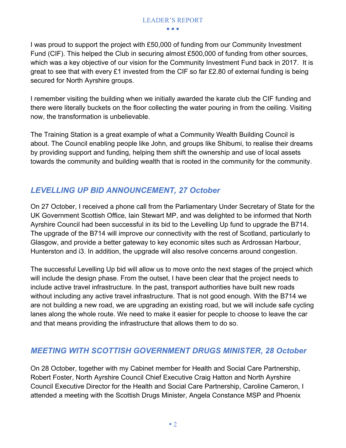I was proud to support the project with £50,000 of funding from our Community Investment Fund (CIF). This helped the Club in securing almost £500,000 of funding from other sources, which was a key objective of our vision for the Community Investment Fund back in 2017. It is great to see that with every £1 invested from the CIF so far £2.80 of external funding is being secured for North Ayrshire groups.

I remember visiting the building when we initially awarded the karate club the CIF funding and there were literally buckets on the floor collecting the water pouring in from the ceiling. Visiting now, the transformation is unbelievable.

The Training Station is a great example of what a Community Wealth Building Council is about. The Council enabling people like John, and groups like Shibumi, to realise their dreams by providing support and funding, helping them shift the ownership and use of local assets towards the community and building wealth that is rooted in the community for the community.

#### *LEVELLING UP BID ANNOUNCEMENT, 27 October*

On 27 October, I received a phone call from the Parliamentary Under Secretary of State for the UK Government Scottish Office, Iain Stewart MP, and was delighted to be informed that North Ayrshire Council had been successful in its bid to the Levelling Up fund to upgrade the B714. The upgrade of the B714 will improve our connectivity with the rest of Scotland, particularly to Glasgow, and provide a better gateway to key economic sites such as Ardrossan Harbour, Hunterston and i3. In addition, the upgrade will also resolve concerns around congestion.

The successful Levelling Up bid will allow us to move onto the next stages of the project which will include the design phase. From the outset, I have been clear that the project needs to include active travel infrastructure. In the past, transport authorities have built new roads without including any active travel infrastructure. That is not good enough. With the B714 we are not building a new road, we are upgrading an existing road, but we will include safe cycling lanes along the whole route. We need to make it easier for people to choose to leave the car and that means providing the infrastructure that allows them to do so.

#### *MEETING WITH SCOTTISH GOVERNMENT DRUGS MINISTER, 28 October*

On 28 October, together with my Cabinet member for Health and Social Care Partnership, Robert Foster, North Ayrshire Council Chief Executive Craig Hatton and North Ayrshire Council Executive Director for the Health and Social Care Partnership, Caroline Cameron, I attended a meeting with the Scottish Drugs Minister, Angela Constance MSP and Phoenix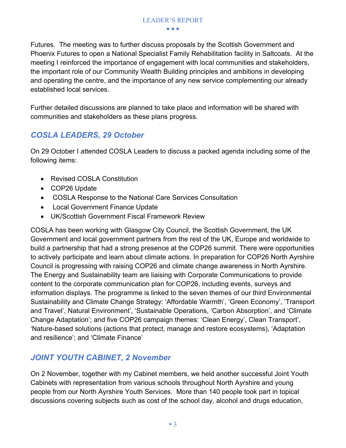### LEADER'S REPORT

• • •

Futures. The meeting was to further discuss proposals by the Scottish Government and Phoenix Futures to open a National Specialist Family Rehabilitation facility in Saltcoats. At the meeting I reinforced the importance of engagement with local communities and stakeholders, the important role of our Community Wealth Building principles and ambitions in developing and operating the centre, and the importance of any new service complementing our already established local services.

Further detailed discussions are planned to take place and information will be shared with communities and stakeholders as these plans progress.

#### *COSLA LEADERS, 29 October*

On 29 October I attended COSLA Leaders to discuss a packed agenda including some of the following items:

- Revised COSLA Constitution
- COP26 Update
- COSLA Response to the National Care Services Consultation
- Local Government Finance Update
- UK/Scottish Government Fiscal Framework Review

COSLA has been working with Glasgow City Council, the Scottish Government, the UK Government and local government partners from the rest of the UK, Europe and worldwide to build a partnership that had a strong presence at the COP26 summit. There were opportunities to actively participate and learn about climate actions. In preparation for COP26 North Ayrshire Council is progressing with raising COP26 and climate change awareness in North Ayrshire. The Energy and Sustainability team are liaising with Corporate Communications to provide content to the corporate communication plan for COP26, including events, surveys and information displays. The programme is linked to the seven themes of our third Environmental Sustainability and Climate Change Strategy: 'Affordable Warmth', 'Green Economy', 'Transport and Travel', Natural Environment', 'Sustainable Operations, 'Carbon Absorption', and 'Climate Change Adaptation'; and five COP26 campaign themes: 'Clean Energy', Clean Transport', 'Nature-based solutions (actions that protect, manage and restore ecosystems), 'Adaptation and resilience'; and 'Climate Finance'

#### *JOINT YOUTH CABINET, 2 November*

On 2 November, together with my Cabinet members, we held another successful Joint Youth Cabinets with representation from various schools throughout North Ayrshire and young people from our North Ayrshire Youth Services. More than 140 people took part in topical discussions covering subjects such as cost of the school day, alcohol and drugs education,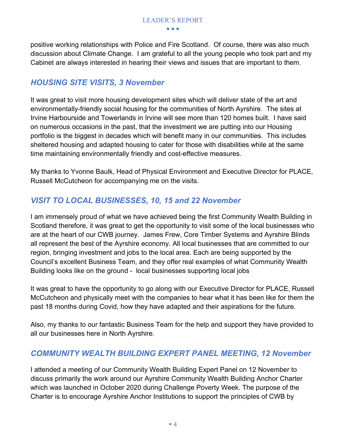positive working relationships with Police and Fire Scotland. Of course, there was also much discussion about Climate Change. I am grateful to all the young people who took part and my Cabinet are always interested in hearing their views and issues that are important to them.

#### *HOUSING SITE VISITS, 3 November*

It was great to visit more housing development sites which will deliver state of the art and environmentally-friendly social housing for the communities of North Ayrshire. The sites at Irvine Harbourside and Towerlands in Irvine will see more than 120 homes built. I have said on numerous occasions in the past, that the investment we are putting into our Housing portfolio is the biggest in decades which will benefit many in our communities. This includes sheltered housing and adapted housing to cater for those with disabilities while at the same time maintaining environmentally friendly and cost-effective measures.

My thanks to Yvonne Baulk, Head of Physical Environment and Executive Director for PLACE, Russell McCutcheon for accompanying me on the visits.

#### *VISIT TO LOCAL BUSINESSES, 10, 15 and 22 November*

I am immensely proud of what we have achieved being the first Community Wealth Building in Scotland therefore, it was great to get the opportunity to visit some of the local businesses who are at the heart of our CWB journey. James Frew, Core Timber Systems and Ayrshire Blinds all represent the best of the Ayrshire economy. All local businesses that are committed to our region, bringing investment and jobs to the local area. Each are being supported by the Council's excellent Business Team, and they offer real examples of what Community Wealth Building looks like on the ground - local businesses supporting local jobs

It was great to have the opportunity to go along with our Executive Director for PLACE, Russell McCutcheon and physically meet with the companies to hear what it has been like for them the past 18 months during Covid, how they have adapted and their aspirations for the future.

Also, my thanks to our fantastic Business Team for the help and support they have provided to all our businesses here in North Ayrshire.

#### *COMMUNITY WEALTH BUILDING EXPERT PANEL MEETING, 12 November*

I attended a meeting of our Community Wealth Building Expert Panel on 12 November to discuss primarily the work around our Ayrshire Community Wealth Building Anchor Charter which was launched in October 2020 during Challenge Poverty Week. The purpose of the Charter is to encourage Ayrshire Anchor Institutions to support the principles of CWB by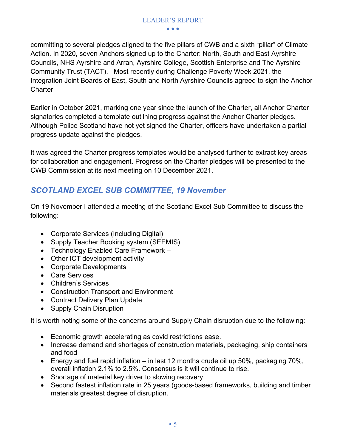committing to several pledges aligned to the five pillars of CWB and a sixth "pillar" of Climate Action. In 2020, seven Anchors signed up to the Charter: North, South and East Ayrshire Councils, NHS Ayrshire and Arran, Ayrshire College, Scottish Enterprise and The Ayrshire Community Trust (TACT). Most recently during Challenge Poverty Week 2021, the Integration Joint Boards of East, South and North Ayrshire Councils agreed to sign the Anchor **Charter** 

Earlier in October 2021, marking one year since the launch of the Charter, all Anchor Charter signatories completed a template outlining progress against the Anchor Charter pledges. Although Police Scotland have not yet signed the Charter, officers have undertaken a partial progress update against the pledges.

It was agreed the Charter progress templates would be analysed further to extract key areas for collaboration and engagement. Progress on the Charter pledges will be presented to the CWB Commission at its next meeting on 10 December 2021.

#### *SCOTLAND EXCEL SUB COMMITTEE, 19 November*

On 19 November I attended a meeting of the Scotland Excel Sub Committee to discuss the following:

- Corporate Services (Including Digital)
- Supply Teacher Booking system (SEEMIS)
- Technology Enabled Care Framework –
- Other ICT development activity
- Corporate Developments
- Care Services
- Children's Services
- Construction Transport and Environment
- Contract Delivery Plan Update
- Supply Chain Disruption

It is worth noting some of the concerns around Supply Chain disruption due to the following:

- Economic growth accelerating as covid restrictions ease.
- Increase demand and shortages of construction materials, packaging, ship containers and food
- Energy and fuel rapid inflation in last 12 months crude oil up 50%, packaging 70%, overall inflation 2.1% to 2.5%. Consensus is it will continue to rise.
- Shortage of material key driver to slowing recovery
- Second fastest inflation rate in 25 years (goods-based frameworks, building and timber materials greatest degree of disruption.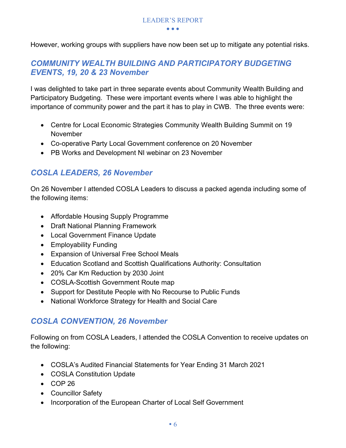However, working groups with suppliers have now been set up to mitigate any potential risks.

#### *COMMUNITY WEALTH BUILDING AND PARTICIPATORY BUDGETING EVENTS, 19, 20 & 23 November*

I was delighted to take part in three separate events about Community Wealth Building and Participatory Budgeting. These were important events where I was able to highlight the importance of community power and the part it has to play in CWB. The three events were:

- Centre for Local Economic Strategies Community Wealth Building Summit on 19 November
- Co-operative Party Local Government conference on 20 November
- PB Works and Development NI webinar on 23 November

#### *COSLA LEADERS, 26 November*

On 26 November I attended COSLA Leaders to discuss a packed agenda including some of the following items:

- Affordable Housing Supply Programme
- Draft National Planning Framework
- Local Government Finance Update
- Employability Funding
- Expansion of Universal Free School Meals
- Education Scotland and Scottish Qualifications Authority: Consultation
- 20% Car Km Reduction by 2030 Joint
- COSLA-Scottish Government Route map
- Support for Destitute People with No Recourse to Public Funds
- National Workforce Strategy for Health and Social Care

#### *COSLA CONVENTION, 26 November*

Following on from COSLA Leaders, I attended the COSLA Convention to receive updates on the following:

- COSLA's Audited Financial Statements for Year Ending 31 March 2021
- COSLA Constitution Update
- COP 26
- Councillor Safety
- Incorporation of the European Charter of Local Self Government